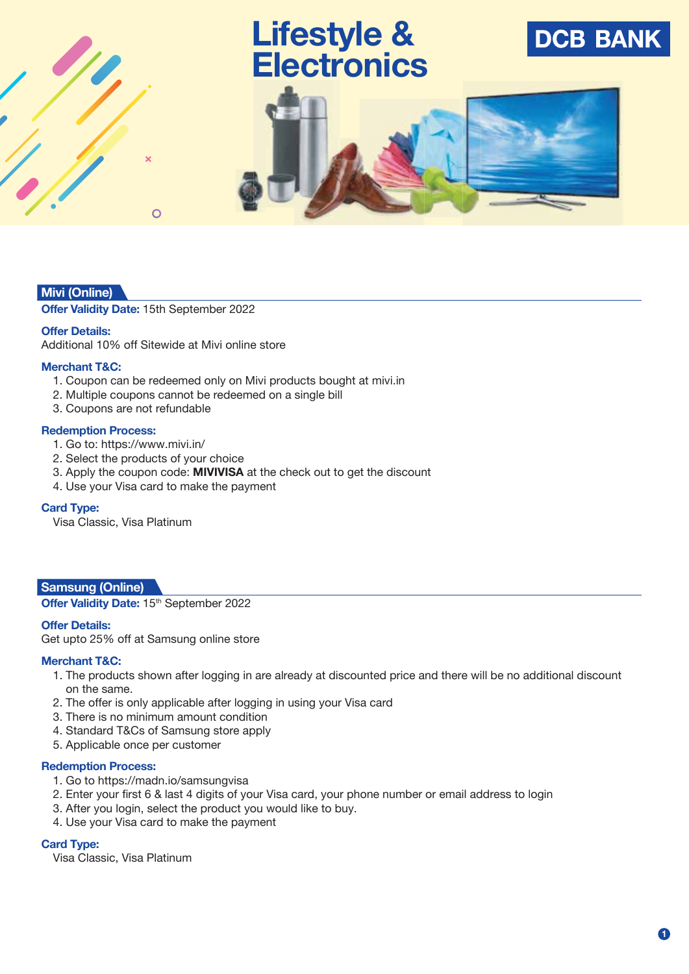# **Lifestyle & Electronics**





## **Mivi (Online)**

**Offer Validity Date:** 15th September 2022

 $\Omega$ 

#### **Offer Details:**

Additional 10% off Sitewide at Mivi online store

#### **Merchant T&C:**

- 1. Coupon can be redeemed only on Mivi products bought at mivi.in
- 2. Multiple coupons cannot be redeemed on a single bill
- 3. Coupons are not refundable

#### **Redemption Process:**

- 1. Go to: https://www.mivi.in/
- 2. Select the products of your choice
- 3. Apply the coupon code: **MIVIVISA** at the check out to get the discount
- 4. Use your Visa card to make the payment

#### **Card Type:**

Visa Classic, Visa Platinum

#### **Samsung (Online)**

Offer Validity Date: 15<sup>th</sup> September 2022

#### **Offer Details:**

Get upto 25% off at Samsung online store

#### **Merchant T&C:**

- 1. The products shown after logging in are already at discounted price and there will be no additional discount on the same.
- 2. The offer is only applicable after logging in using your Visa card
- 3. There is no minimum amount condition
- 4. Standard T&Cs of Samsung store apply
- 5. Applicable once per customer

#### **Redemption Process:**

- 1. Go to https://madn.io/samsungvisa
- 2. Enter your first 6 & last 4 digits of your Visa card, your phone number or email address to login
- 3. After you login, select the product you would like to buy.
- 4. Use your Visa card to make the payment

#### **Card Type:**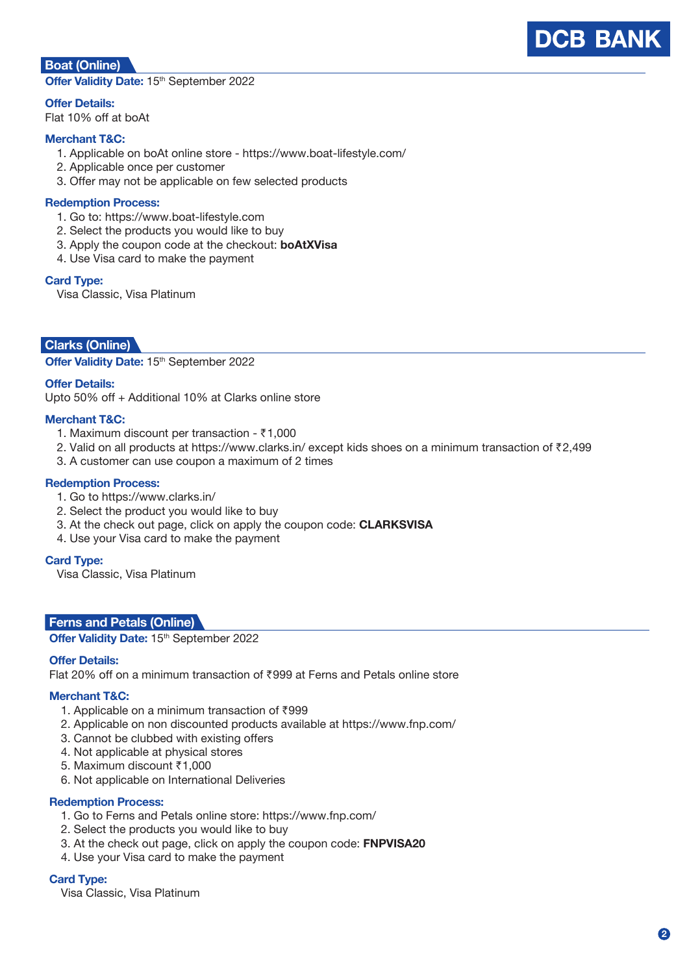

## **Boat (Online)**

Offer Validity Date: 15<sup>th</sup> September 2022

**Offer Details:**

Flat 10% off at boAt

#### **Merchant T&C:**

- 1. Applicable on boAt online store https://www.boat-lifestyle.com/
- 2. Applicable once per customer
- 3. Offer may not be applicable on few selected products

#### **Redemption Process:**

- 1. Go to: https://www.boat-lifestyle.com
- 2. Select the products you would like to buy
- 3. Apply the coupon code at the checkout: **boAtXVisa**
- 4. Use Visa card to make the payment

#### **Card Type:**

Visa Classic, Visa Platinum

## **Clarks (Online)**

Offer Validity Date: 15<sup>th</sup> September 2022

#### **Offer Details:**

Upto 50% off + Additional 10% at Clarks online store

#### **Merchant T&C:**

- 1. Maximum discount per transaction  $\bar{z}$ 1,000
- 2. Valid on all products at https://www.clarks.in/ except kids shoes on a minimum transaction of ₹2,499
- 3. A customer can use coupon a maximum of 2 times

#### **Redemption Process:**

- 1. Go to https://www.clarks.in/
- 2. Select the product you would like to buy
- 3. At the check out page, click on apply the coupon code: **CLARKSVISA**
- 4. Use your Visa card to make the payment

#### **Card Type:**

Visa Classic, Visa Platinum

#### **Ferns and Petals (Online)**

Offer Validity Date: 15<sup>th</sup> September 2022

#### **Offer Details:**

Flat 20% off on a minimum transaction of `999 at Ferns and Petals online store

#### **Merchant T&C:**

- 1. Applicable on a minimum transaction of  $\bar{z}$ 999
- 2. Applicable on non discounted products available at https://www.fnp.com/
- 3. Cannot be clubbed with existing offers
- 4. Not applicable at physical stores
- 5. Maximum discount ₹1,000
- 6. Not applicable on International Deliveries

#### **Redemption Process:**

- 1. Go to Ferns and Petals online store: https://www.fnp.com/
- 2. Select the products you would like to buy
- 3. At the check out page, click on apply the coupon code: **FNPVISA20**
- 4. Use your Visa card to make the payment

#### **Card Type:**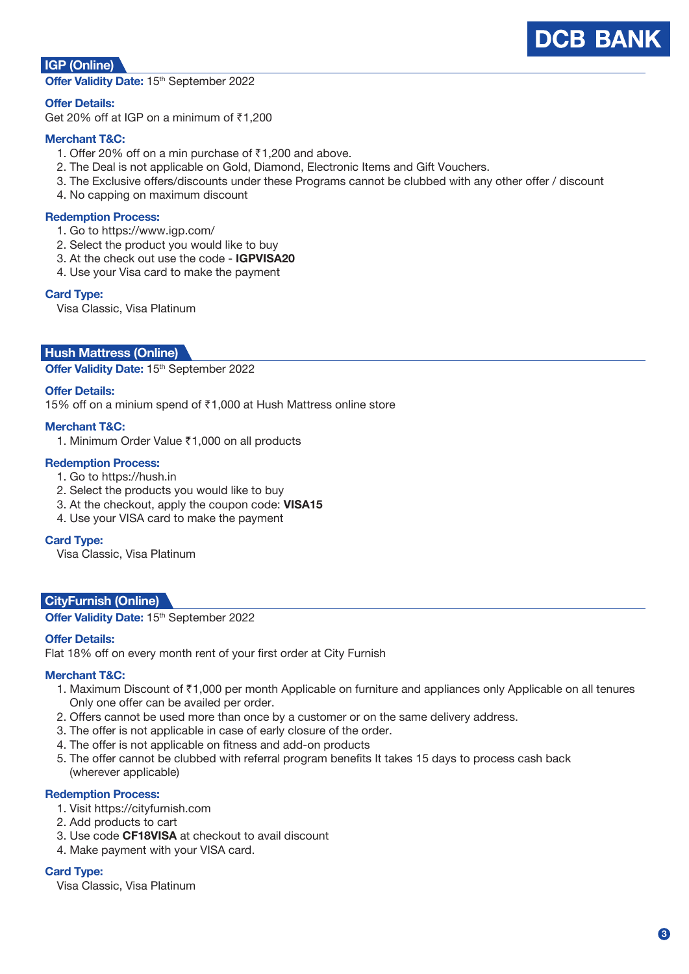

## **IGP (Online)**

Offer Validity Date: 15<sup>th</sup> September 2022

#### **Offer Details:**

Get 20% off at IGP on a minimum of  $\bar{z}1,200$ 

#### **Merchant T&C:**

- 1. Offer 20% off on a min purchase of  $\bar{c}$ 1,200 and above.
- 2. The Deal is not applicable on Gold, Diamond, Electronic Items and Gift Vouchers.
- 3. The Exclusive offers/discounts under these Programs cannot be clubbed with any other offer / discount
- 4. No capping on maximum discount

#### **Redemption Process:**

- 1. Go to https://www.igp.com/
- 2. Select the product you would like to buy
- 3. At the check out use the code **IGPVISA20**
- 4. Use your Visa card to make the payment

#### **Card Type:**

Visa Classic, Visa Platinum

#### **Mivi (On Hush Mattress (On line) line)**

Offer Validity Date: 15<sup>th</sup> September 2022

#### **Offer Details:**

15% off on a minium spend of ₹1,000 at Hush Mattress online store

#### **Merchant T&C:**

1. Minimum Order Value ₹1,000 on all products

#### **Redemption Process:**

- 1. Go to https://hush.in
- 2. Select the products you would like to buy
- 3. At the checkout, apply the coupon code: **VISA15**
- 4. Use your VISA card to make the payment

#### **Card Type:**

Visa Classic, Visa Platinum

#### **Arig CityFurnish (Online)**

**Offer Validity Date: 15th September 2022** 

#### **Offer Details:**

Flat 18% off on every month rent of your first order at City Furnish

#### **Merchant T&C:**

- 1. Maximum Discount of ₹1,000 per month Applicable on furniture and appliances only Applicable on all tenures Only one offer can be availed per order.
- 2. Offers cannot be used more than once by a customer or on the same delivery address.
- 3. The offer is not applicable in case of early closure of the order.
- 4. The offer is not applicable on fitness and add-on products
- 5. The offer cannot be clubbed with referral program benefits It takes 15 days to process cash back (wherever applicable)

#### **Redemption Process:**

- 1. Visit https://cityfurnish.com
- 2. Add products to cart
- 3. Use code **CF18VISA** at checkout to avail discount
- 4. Make payment with your VISA card.

#### **Card Type:**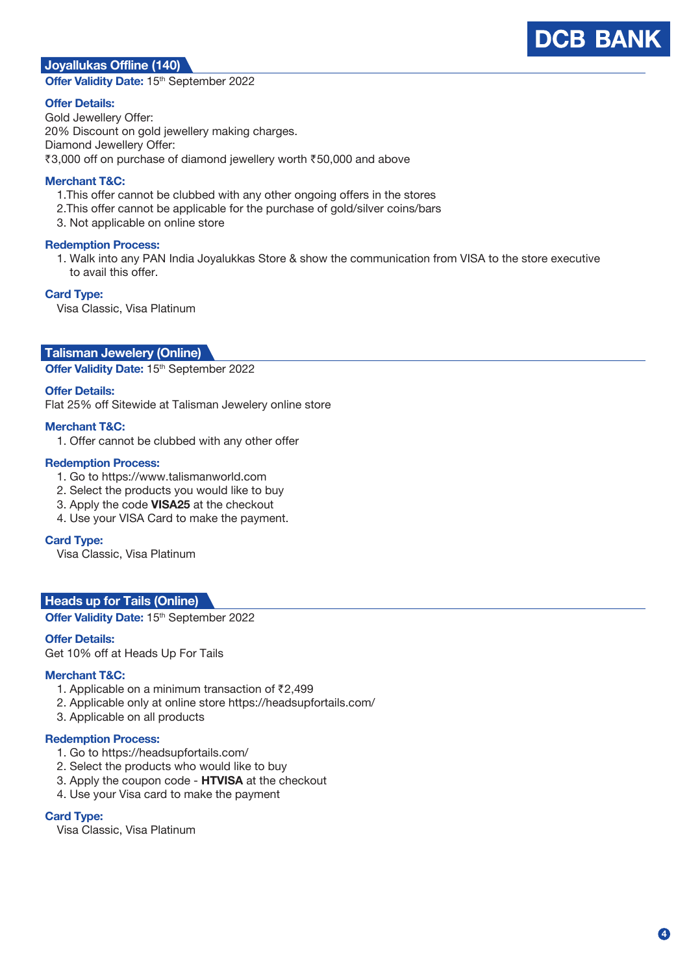## **Mivi (On Joyallukas Off line) line (140)**

Offer Validity Date: 15<sup>th</sup> September 2022

#### **Offer Details:**

Gold Jewellery Offer: 20% Discount on gold jewellery making charges. Diamond Jewellery Offer: ₹3,000 off on purchase of diamond jewellery worth ₹50,000 and above

#### **Merchant T&C:**

- 1.This offer cannot be clubbed with any other ongoing offers in the stores
- 2.This offer cannot be applicable for the purchase of gold/silver coins/bars
- 3. Not applicable on online store

#### **Redemption Process:**

 1. Walk into any PAN India Joyalukkas Store & show the communication from VISA to the store executive to avail this offer.

#### **Card Type:**

Visa Classic, Visa Platinum

#### **Minuxion Chalisman Jewelery (Online)**

Offer Validity Date: 15<sup>th</sup> September 2022

#### **Offer Details:**

Flat 25% off Sitewide at Talisman Jewelery online store

#### **Merchant T&C:**

1. Offer cannot be clubbed with any other offer

#### **Redemption Process:**

- 1. Go to https://www.talismanworld.com
- 2. Select the products you would like to buy
- 3. Apply the code **VISA25** at the checkout
- 4. Use your VISA Card to make the payment.

#### **Card Type:**

Visa Classic, Visa Platinum

#### **Heads up for Tails (Online)**

**Offer Validity Date: 15<sup>th</sup> September 2022** 

#### **Offer Details:**

Get 10% off at Heads Up For Tails

#### **Merchant T&C:**

- 1. Applicable on a minimum transaction of  $\bar{z}$ 2,499
- 2. Applicable only at online store https://headsupfortails.com/
- 3. Applicable on all products

#### **Redemption Process:**

- 1. Go to https://headsupfortails.com/
- 2. Select the products who would like to buy
- 3. Apply the coupon code **HTVISA** at the checkout
- 4. Use your Visa card to make the payment

#### **Card Type:**

Visa Classic, Visa Platinum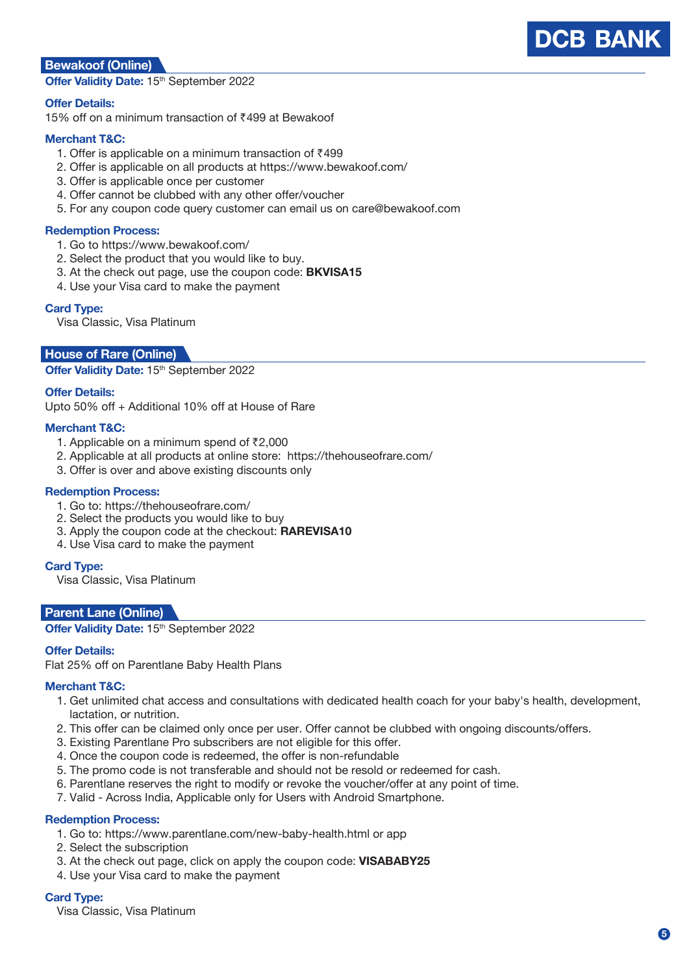### **Mivi (On Bewakoof (On line) line)**

Offer Validity Date: 15<sup>th</sup> September 2022

#### **Offer Details:**

15% off on a minimum transaction of ₹499 at Bewakoof

#### **Merchant T&C:**

- 1. Offer is applicable on a minimum transaction of  $\bar{z}$ 499
- 2. Offer is applicable on all products at https://www.bewakoof.com/
- 3. Offer is applicable once per customer
- 4. Offer cannot be clubbed with any other offer/voucher
- 5. For any coupon code query customer can email us on care@bewakoof.com

#### **Redemption Process:**

- 1. Go to https://www.bewakoof.com/
- 2. Select the product that you would like to buy.
- 3. At the check out page, use the coupon code: **BKVISA15**
- 4. Use your Visa card to make the payment

#### **Card Type:**

Visa Classic, Visa Platinum

#### **House of Rare (Online)**

**Offer Validity Date: 15th September 2022** 

#### **Offer Details:**

Upto 50% off + Additional 10% off at House of Rare

#### **Merchant T&C:**

- 1. Applicable on a minimum spend of  $\bar{z}2,000$
- 2. Applicable at all products at online store: https://thehouseofrare.com/
- 3. Offer is over and above existing discounts only

#### **Redemption Process:**

- 1. Go to: https://thehouseofrare.com/
- 2. Select the products you would like to buy
- 3. Apply the coupon code at the checkout: **RAREVISA10**
- 4. Use Visa card to make the payment

#### **Card Type:**

Visa Classic, Visa Platinum

#### **Parent Lane (Online)**

#### **Offer Validity Date: 15th September 2022**

#### **Offer Details:**

Flat 25% off on Parentlane Baby Health Plans

#### **Merchant T&C:**

- 1. Get unlimited chat access and consultations with dedicated health coach for your baby's health, development, lactation, or nutrition.
- 2. This offer can be claimed only once per user. Offer cannot be clubbed with ongoing discounts/offers.
- 3. Existing Parentlane Pro subscribers are not eligible for this offer.
- 4. Once the coupon code is redeemed, the offer is non-refundable
- 5. The promo code is not transferable and should not be resold or redeemed for cash.
- 6. Parentlane reserves the right to modify or revoke the voucher/offer at any point of time.
- 7. Valid Across India, Applicable only for Users with Android Smartphone.

#### **Redemption Process:**

- 1. Go to: https://www.parentlane.com/new-baby-health.html or app
- 2. Select the subscription
- 3. At the check out page, click on apply the coupon code: **VISABABY25**
- 4. Use your Visa card to make the payment

#### **Card Type:**

Visa Classic, Visa Platinum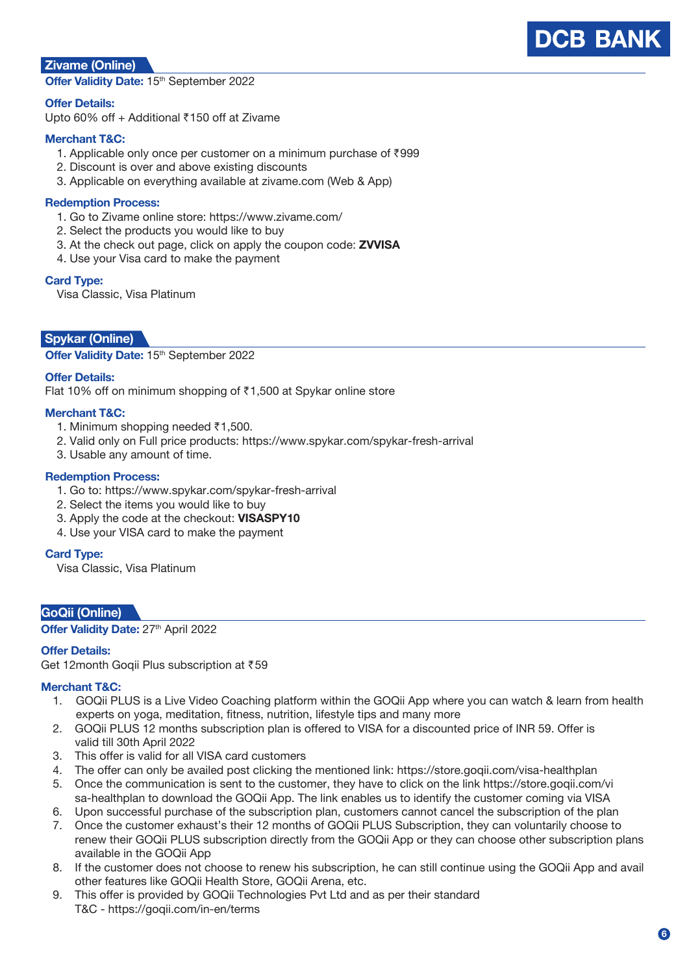## **DCB BANK**

## **Zivame (Online)**

Offer Validity Date: 15<sup>th</sup> September 2022

### **Offer Details:**

Upto 60% off + Additional  $\bar{c}$ 150 off at Zivame

### **Merchant T&C:**

- 1. Applicable only once per customer on a minimum purchase of  $\bar{z}$ 999
- 2. Discount is over and above existing discounts
- 3. Applicable on everything available at zivame.com (Web & App)

#### **Redemption Process:**

- 1. Go to Zivame online store: https://www.zivame.com/
- 2. Select the products you would like to buy
- 3. At the check out page, click on apply the coupon code: **ZVVISA**
- 4. Use your Visa card to make the payment

#### **Card Type:**

Visa Classic, Visa Platinum

## **Spykar (Online)**

**Offer Validity Date: 15th September 2022** 

#### **Offer Details:**

Flat 10% off on minimum shopping of  $\bar{\tau}$ 1,500 at Spykar online store

#### **Merchant T&C:**

- 1. Minimum shopping needed  $\bar{\tau}$ 1,500.
- 2. Valid only on Full price products: https://www.spykar.com/spykar-fresh-arrival
- 3. Usable any amount of time.

#### **Redemption Process:**

- 1. Go to: https://www.spykar.com/spykar-fresh-arrival
- 2. Select the items you would like to buy
- 3. Apply the code at the checkout: **VISASPY10**
- 4. Use your VISA card to make the payment

#### **Card Type:**

Visa Classic, Visa Platinum

#### **GoQii (Online)**

**Offer Validity Date:** 27<sup>th</sup> April 2022

#### **Offer Details:**

Get 12month Goqii Plus subscription at ₹59

#### **Merchant T&C:**

- 1. GOQii PLUS is a Live Video Coaching platform within the GOQii App where you can watch & learn from health experts on yoga, meditation, fitness, nutrition, lifestyle tips and many more
- 2. GOQii PLUS 12 months subscription plan is offered to VISA for a discounted price of INR 59. Offer is valid till 30th April 2022
- 3. This offer is valid for all VISA card customers
- 4. The offer can only be availed post clicking the mentioned link: https://store.goqii.com/visa-healthplan
- 5. Once the communication is sent to the customer, they have to click on the link https://store.goqii.com/vi sa-healthplan to download the GOQii App. The link enables us to identify the customer coming via VISA
- 6. Upon successful purchase of the subscription plan, customers cannot cancel the subscription of the plan
- 7. Once the customer exhaust's their 12 months of GOQii PLUS Subscription, they can voluntarily choose to renew their GOQii PLUS subscription directly from the GOQii App or they can choose other subscription plans available in the GOQii App
- 8. If the customer does not choose to renew his subscription, he can still continue using the GOQii App and avail other features like GOQii Health Store, GOQii Arena, etc.
- 9. This offer is provided by GOQii Technologies Pvt Ltd and as per their standard T&C - https://goqii.com/in-en/terms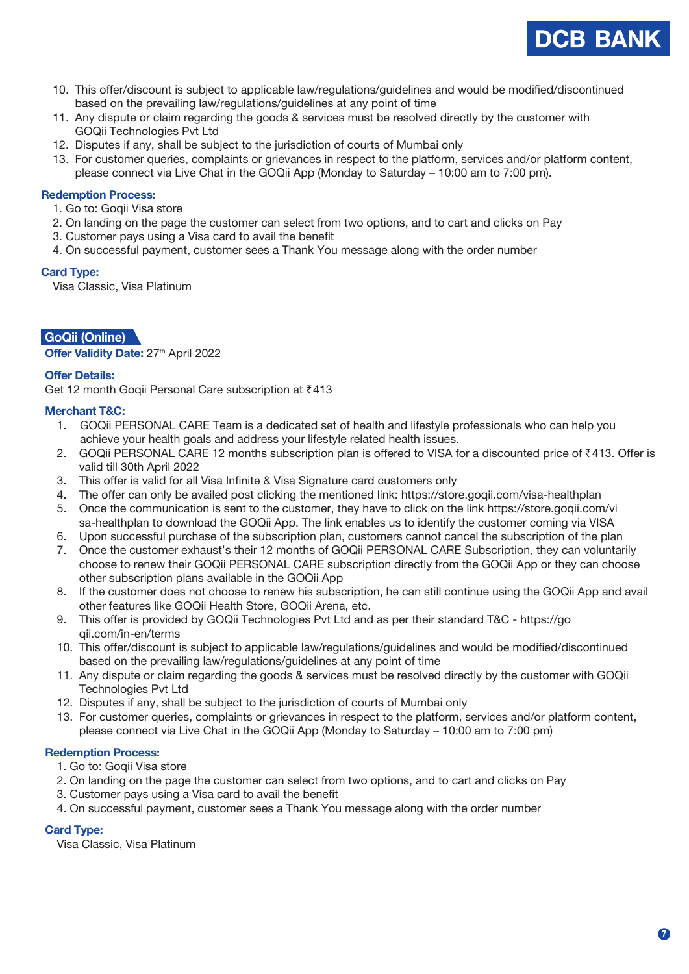

- 10. This offer/discount is subject to applicable law/regulations/guidelines and would be modified/discontinued based on the prevailing law/regulations/guidelines at any point of time
- 11. Any dispute or claim regarding the goods & services must be resolved directly by the customer with GOQii Technologies Pvt Ltd
- 12. Disputes if any, shall be subject to the jurisdiction of courts of Mumbai only
- 13. For customer queries, complaints or grievances in respect to the platform, services and/or platform content, please connect via Live Chat in the GOQii App (Monday to Saturday – 10:00 am to 7:00 pm).

#### **Redemption Process:**

- 1. Go to: Goqii Visa store
- 2. On landing on the page the customer can select from two options, and to cart and clicks on Pay
- 3. Customer pays using a Visa card to avail the benefit
- 4. On successful payment, customer sees a Thank You message along with the order number

#### **Card Type:**

Visa Classic, Visa Platinum

## **Mivi (On GoQii (Onlineline) )**

**Offer Validity Date:** 27<sup>th</sup> April 2022

#### **Offer Details:**

Get 12 month Gogii Personal Care subscription at ₹413

#### **Merchant T&C:**

- 1. GOQii PERSONAL CARE Team is a dedicated set of health and lifestyle professionals who can help you achieve your health goals and address your lifestyle related health issues.
- 2. GOQii PERSONAL CARE 12 months subscription plan is offered to VISA for a discounted price of ₹413. Offer is valid till 30th April 2022
- 3. This offer is valid for all Visa Infinite & Visa Signature card customers only
- 4. The offer can only be availed post clicking the mentioned link: https://store.goqii.com/visa-healthplan
- 5. Once the communication is sent to the customer, they have to click on the link https://store.goqii.com/vi sa-healthplan to download the GOQii App. The link enables us to identify the customer coming via VISA
- 6. Upon successful purchase of the subscription plan, customers cannot cancel the subscription of the plan
- 7. Once the customer exhaust's their 12 months of GOQii PERSONAL CARE Subscription, they can voluntarily choose to renew their GOQii PERSONAL CARE subscription directly from the GOQii App or they can choose other subscription plans available in the GOQii App
- 8. If the customer does not choose to renew his subscription, he can still continue using the GOQii App and avail other features like GOQii Health Store, GOQii Arena, etc.
- 9. This offer is provided by GOQii Technologies Pvt Ltd and as per their standard T&C https://go qii.com/in-en/terms
- 10. This offer/discount is subject to applicable law/regulations/guidelines and would be modified/discontinued based on the prevailing law/regulations/guidelines at any point of time
- 11. Any dispute or claim regarding the goods & services must be resolved directly by the customer with GOQii Technologies Pvt Ltd
- 12. Disputes if any, shall be subject to the jurisdiction of courts of Mumbai only
- 13. For customer queries, complaints or grievances in respect to the platform, services and/or platform content, please connect via Live Chat in the GOQii App (Monday to Saturday – 10:00 am to 7:00 pm)

#### **Redemption Process:**

- 1. Go to: Goqii Visa store
- 2. On landing on the page the customer can select from two options, and to cart and clicks on Pay
- 3. Customer pays using a Visa card to avail the benefit
- 4. On successful payment, customer sees a Thank You message along with the order number

## **Card Type:**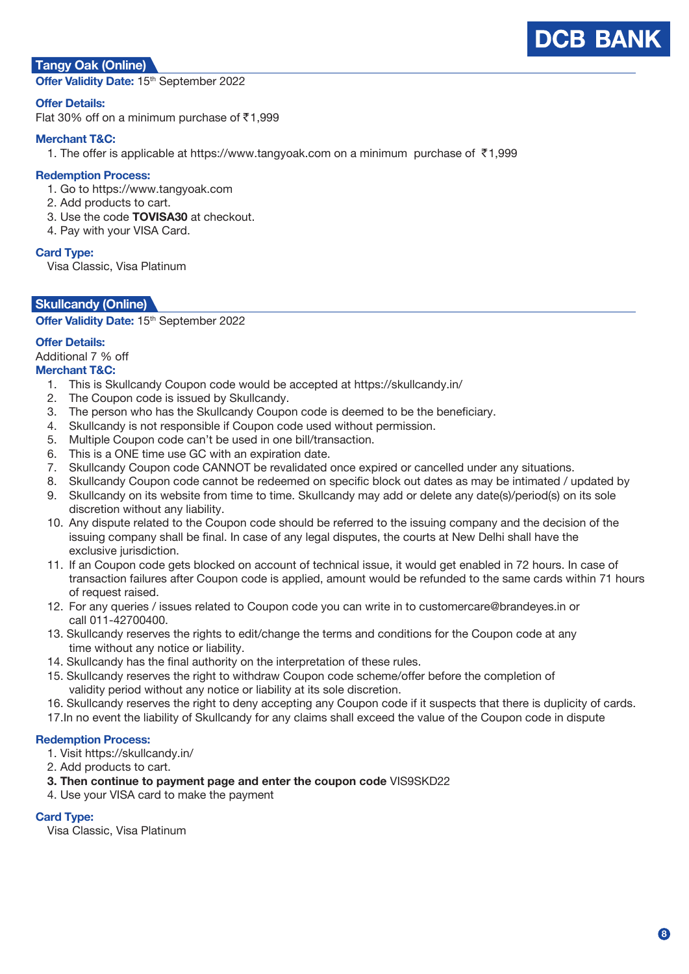## **Tangy Oak (Online)**

Offer Validity Date: 15<sup>th</sup> September 2022

#### **Offer Details:**

Flat 30% off on a minimum purchase of  $\bar{c}$ 1,999

#### **Merchant T&C:**

1. The offer is applicable at https://www.tangyoak.com on a minimum purchase of  $\overline{5}1,999$ 

#### **Redemption Process:**

- 1. Go to https://www.tangyoak.com
- 2. Add products to cart.
- 3. Use the code **TOVISA30** at checkout.
- 4. Pay with your VISA Card.

## **Card Type:**

Visa Classic, Visa Platinum

## **Skullcandy (Online)**

**Offer Validity Date: 15th September 2022** 

## **Offer Details:**

Additional 7 % off

#### **Merchant T&C:**

- 1. This is Skullcandy Coupon code would be accepted at https://skullcandy.in/
- 2. The Coupon code is issued by Skullcandy.
- 3. The person who has the Skullcandy Coupon code is deemed to be the beneficiary.
- 4. Skullcandy is not responsible if Coupon code used without permission.
- 5. Multiple Coupon code can't be used in one bill/transaction.
- 6. This is a ONE time use GC with an expiration date.
- 7. Skullcandy Coupon code CANNOT be revalidated once expired or cancelled under any situations.
	- 8. Skullcandy Coupon code cannot be redeemed on specific block out dates as may be intimated / updated by 9. Skullcandy on its website from time to time. Skullcandy may add or delete any date(s)/period(s) on its sole
	- discretion without any liability.
	- 10. Any dispute related to the Coupon code should be referred to the issuing company and the decision of the issuing company shall be final. In case of any legal disputes, the courts at New Delhi shall have the exclusive jurisdiction.
	- 11. If an Coupon code gets blocked on account of technical issue, it would get enabled in 72 hours. In case of transaction failures after Coupon code is applied, amount would be refunded to the same cards within 71 hours of request raised.
	- 12. For any queries / issues related to Coupon code you can write in to customercare@brandeyes.in or call 011-42700400.
	- 13. Skullcandy reserves the rights to edit/change the terms and conditions for the Coupon code at any time without any notice or liability.
	- 14. Skullcandy has the final authority on the interpretation of these rules.
	- 15. Skullcandy reserves the right to withdraw Coupon code scheme/offer before the completion of validity period without any notice or liability at its sole discretion.
	- 16. Skullcandy reserves the right to deny accepting any Coupon code if it suspects that there is duplicity of cards.
	- 17.In no event the liability of Skullcandy for any claims shall exceed the value of the Coupon code in dispute

#### **Redemption Process:**

- 1. Visit https://skullcandy.in/
- 2. Add products to cart.
- **3. Then continue to payment page and enter the coupon code** VIS9SKD22
- 4. Use your VISA card to make the payment

#### **Card Type:**

Visa Classic, Visa Platinum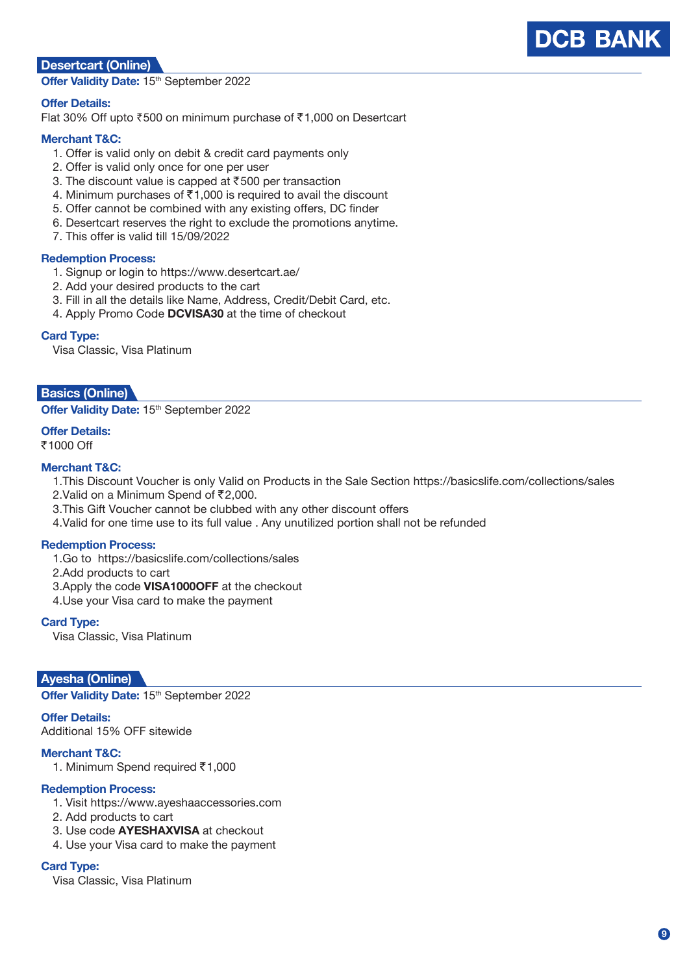## **Desertcart (Online)**

**Offer Validity Date: 15th September 2022** 

#### **Offer Details:**

Flat 30% Off upto  $\overline{500}$  on minimum purchase of  $\overline{51,000}$  on Desertcart

#### **Merchant T&C:**

- 1. Offer is valid only on debit & credit card payments only
- 2. Offer is valid only once for one per user
- 3. The discount value is capped at  $\overline{5}500$  per transaction
- 4. Minimum purchases of  $\bar{\tau}$ 1,000 is required to avail the discount
- 5. Offer cannot be combined with any existing offers, DC finder
- 6. Desertcart reserves the right to exclude the promotions anytime.
- 7. This offer is valid till 15/09/2022

#### **Redemption Process:**

- 1. Signup or login to https://www.desertcart.ae/
- 2. Add your desired products to the cart
- 3. Fill in all the details like Name, Address, Credit/Debit Card, etc.
- 4. Apply Promo Code **DCVISA30** at the time of checkout

#### **Card Type:**

Visa Classic, Visa Platinum

#### **Basics (Online)**

**Offer Validity Date: 15th September 2022** 

## **Offer Details:**

₹1000 Off

#### **Merchant T&C:**

- 1.This Discount Voucher is only Valid on Products in the Sale Section https://basicslife.com/collections/sales
- 2.Valid on a Minimum Spend of ₹2,000.
- 3.This Gift Voucher cannot be clubbed with any other discount offers
- 4.Valid for one time use to its full value . Any unutilized portion shall not be refunded

#### **Redemption Process:**

- 1.Go to https://basicslife.com/collections/sales
- 2.Add products to cart
- 3.Apply the code **VISA1000OFF** at the checkout
- 4.Use your Visa card to make the payment

#### **Card Type:**

Visa Classic, Visa Platinum

## **Ayesha (Online)**

**Offer Validity Date: 15th September 2022** 

#### **Offer Details:**

Additional 15% OFF sitewide

#### **Merchant T&C:**

1. Minimum Spend required ₹1,000

#### **Redemption Process:**

- 1. Visit https://www.ayeshaaccessories.com
- 2. Add products to cart
- 3. Use code **AYESHAXVISA** at checkout
- 4. Use your Visa card to make the payment

#### **Card Type:**

Visa Classic, Visa Platinum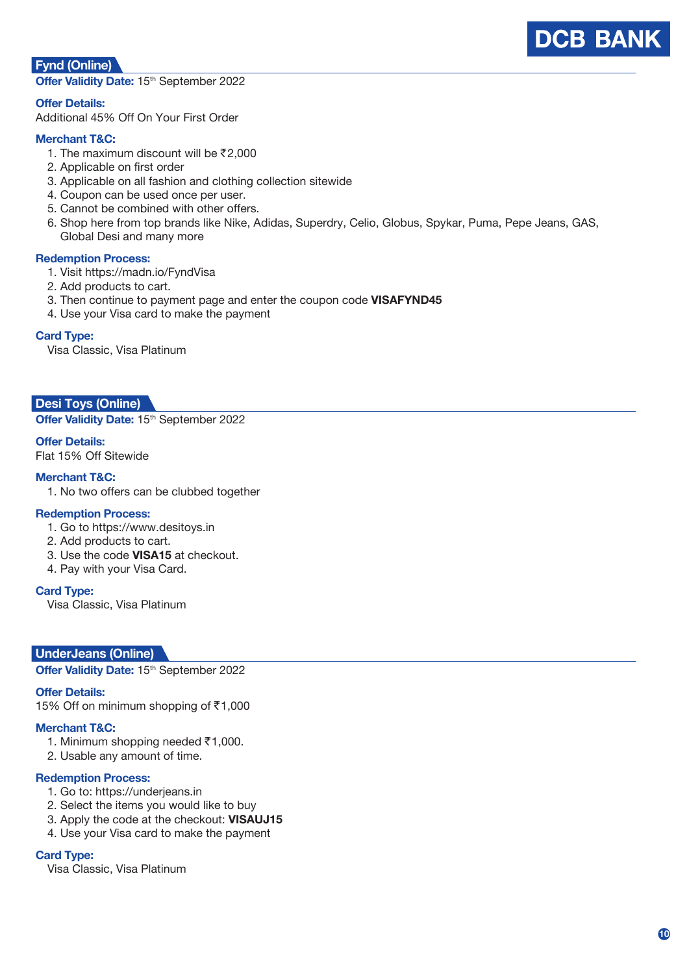## **Fynd (Online)**



Offer Validity Date: 15<sup>th</sup> September 2022

**Offer Details:**

Additional 45% Off On Your First Order

#### **Merchant T&C:**

- 1. The maximum discount will be  $\bar{\mathcal{F}}2.000$
- 2. Applicable on first order
- 3. Applicable on all fashion and clothing collection sitewide
- 4. Coupon can be used once per user.
- 5. Cannot be combined with other offers.
- 6. Shop here from top brands like Nike, Adidas, Superdry, Celio, Globus, Spykar, Puma, Pepe Jeans, GAS, Global Desi and many more

#### **Redemption Process:**

- 1. Visit https://madn.io/FyndVisa
- 2. Add products to cart.
- 3. Then continue to payment page and enter the coupon code **VISAFYND45**
- 4. Use your Visa card to make the payment

#### **Card Type:**

Visa Classic, Visa Platinum

#### **Desi Toys (Online)**

**Offer Validity Date: 15th September 2022** 

#### **Offer Details:**

Flat 15% Off Sitewide

#### **Merchant T&C:**

1. No two offers can be clubbed together

#### **Redemption Process:**

- 1. Go to https://www.desitoys.in
- 2. Add products to cart.
- 3. Use the code **VISA15** at checkout.
- 4. Pay with your Visa Card.

#### **Card Type:**

Visa Classic, Visa Platinum

#### **UnderJeans (Online)**

**Offer Validity Date: 15<sup>th</sup> September 2022** 

#### **Offer Details:**

15% Off on minimum shopping of ₹1,000

#### **Merchant T&C:**

- 1. Minimum shopping needed  $\overline{5}1,000$ .
- 2. Usable any amount of time.

#### **Redemption Process:**

- 1. Go to: https://underjeans.in
- 2. Select the items you would like to buy
- 3. Apply the code at the checkout: **VISAUJ15**
- 4. Use your Visa card to make the payment

#### **Card Type:**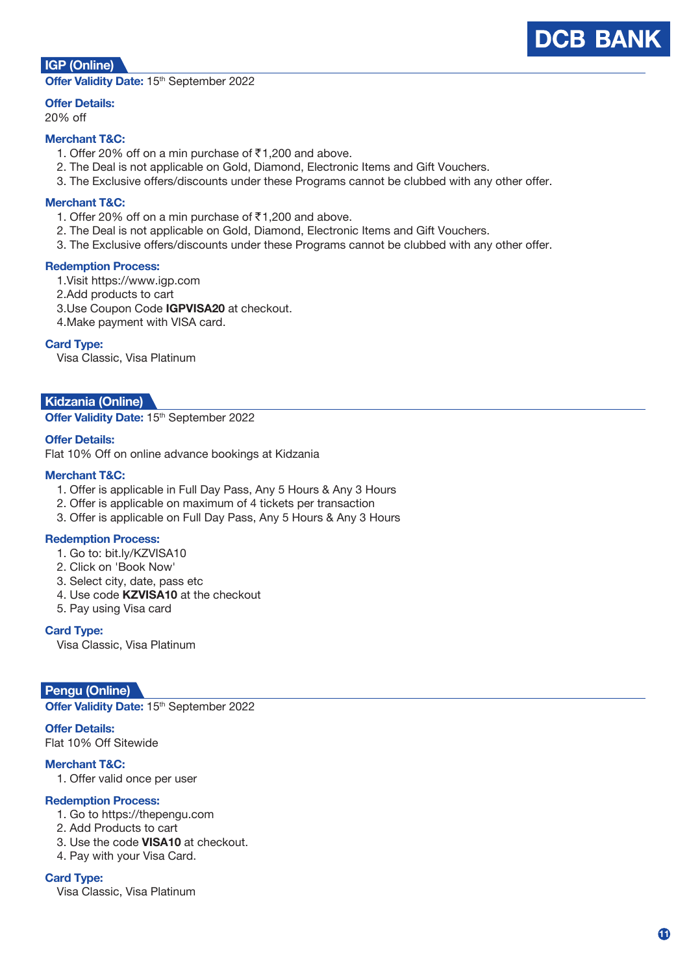## **DCB BANK**

## **IGP (Online)**

Offer Validity Date: 15<sup>th</sup> September 2022

## **Offer Details:**

## 20% off

#### **Merchant T&C:**

- 1. Offer 20% off on a min purchase of  $\bar{\tau}$ 1,200 and above.
- 2. The Deal is not applicable on Gold, Diamond, Electronic Items and Gift Vouchers.
- 3. The Exclusive offers/discounts under these Programs cannot be clubbed with any other offer.

#### **Merchant T&C:**

- 1. Offer 20% off on a min purchase of  $\bar{\tau}$ 1,200 and above.
- 2. The Deal is not applicable on Gold, Diamond, Electronic Items and Gift Vouchers.
- 3. The Exclusive offers/discounts under these Programs cannot be clubbed with any other offer.

#### **Redemption Process:**

- 1.Visit https://www.igp.com
- 2.Add products to cart
- 3.Use Coupon Code **IGPVISA20** at checkout.
- 4.Make payment with VISA card.

#### **Card Type:**

Visa Classic, Visa Platinum

#### **Kidzania (Online)**

Offer Validity Date: 15<sup>th</sup> September 2022

#### **Offer Details:**

Flat 10% Off on online advance bookings at Kidzania

#### **Merchant T&C:**

- 1. Offer is applicable in Full Day Pass, Any 5 Hours & Any 3 Hours
- 2. Offer is applicable on maximum of 4 tickets per transaction
- 3. Offer is applicable on Full Day Pass, Any 5 Hours & Any 3 Hours

#### **Redemption Process:**

- 1. Go to: bit.ly/KZVISA10
- 2. Click on 'Book Now'
- 3. Select city, date, pass etc
- 4. Use code **KZVISA10** at the checkout
- 5. Pay using Visa card

**Card Type:**

Visa Classic, Visa Platinum

#### **Pengu (Online)**

**Offer Validity Date: 15th September 2022** 

**Offer Details:** Flat 10% Off Sitewide

## **Merchant T&C:**

1. Offer valid once per user

#### **Redemption Process:**

- 1. Go to https://thepengu.com
- 2. Add Products to cart
- 3. Use the code **VISA10** at checkout.
- 4. Pay with your Visa Card.

#### **Card Type:**